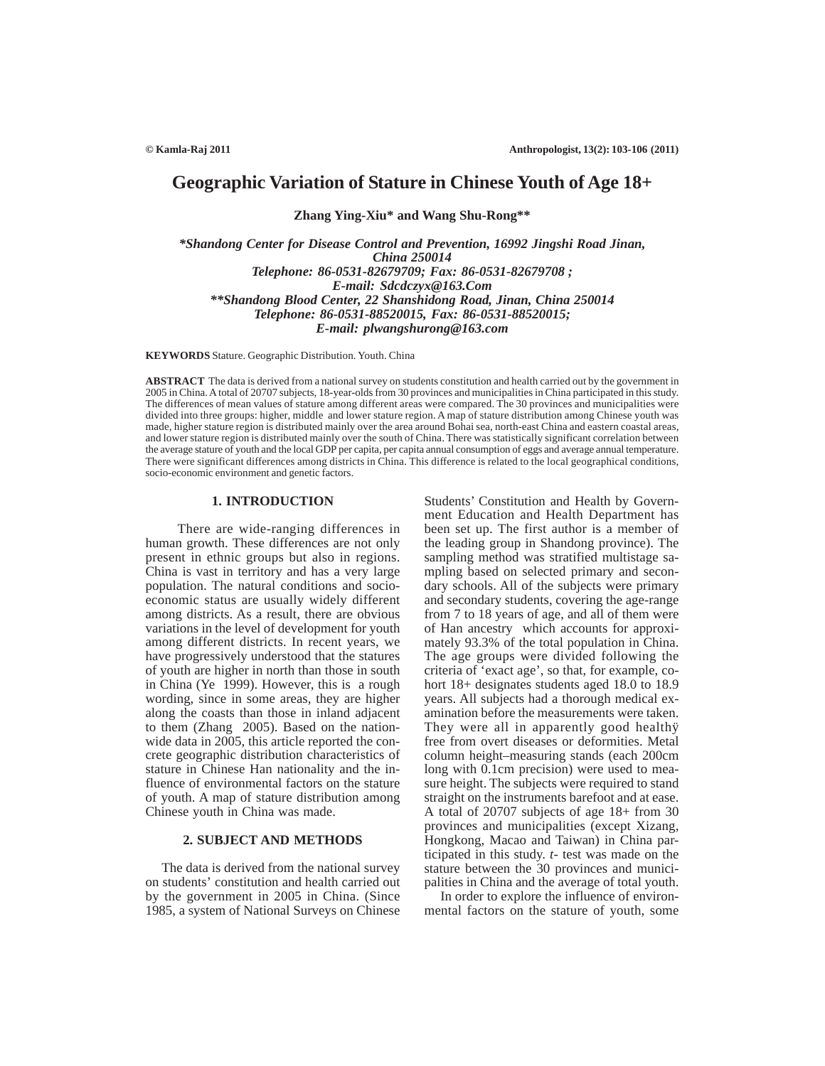# **Geographic Variation of Stature in Chinese Youth of Age 18+**

**Zhang Ying-Xiu\* and Wang Shu-Rong\*\***

*\*Shandong Center for Disease Control and Prevention, 16992 Jingshi Road Jinan, China 250014 Telephone: 86-0531-82679709; Fax: 86-0531-82679708 ; E-mail: Sdcdczyx@163.Com \*\*Shandong Blood Center, 22 Shanshidong Road, Jinan, China 250014 Telephone: 86-0531-88520015, Fax: 86-0531-88520015; E-mail: plwangshurong@163.com*

**KEYWORDS** Stature. Geographic Distribution. Youth. China

**ABSTRACT** The data is derived from a national survey on students constitution and health carried out by the government in 2005 in China. A total of 20707 subjects, 18-year-olds from 30 provinces and municipalities in China participated in this study. The differences of mean values of stature among different areas were compared. The 30 provinces and municipalities were divided into three groups: higher, middle and lower stature region. A map of stature distribution among Chinese youth was made, higher stature region is distributed mainly over the area around Bohai sea, north-east China and eastern coastal areas, and lower stature region is distributed mainly over the south of China. There was statistically significant correlation between the average stature of youth and the local GDP per capita, per capita annual consumption of eggs and average annual temperature. There were significant differences among districts in China. This difference is related to the local geographical conditions, socio-economic environment and genetic factors.

## **1. INTRODUCTION**

 There are wide-ranging differences in human growth. These differences are not only present in ethnic groups but also in regions. China is vast in territory and has a very large population. The natural conditions and socioeconomic status are usually widely different among districts. As a result, there are obvious variations in the level of development for youth among different districts. In recent years, we have progressively understood that the statures of youth are higher in north than those in south in China (Ye 1999). However, this is a rough wording, since in some areas, they are higher along the coasts than those in inland adjacent to them (Zhang 2005). Based on the nationwide data in 2005, this article reported the concrete geographic distribution characteristics of stature in Chinese Han nationality and the influence of environmental factors on the stature of youth. A map of stature distribution among Chinese youth in China was made.

# **2. SUBJECT AND METHODS**

The data is derived from the national survey on students' constitution and health carried out by the government in 2005 in China. (Since 1985, a system of National Surveys on Chinese

Students' Constitution and Health by Government Education and Health Department has been set up. The first author is a member of the leading group in Shandong province). The sampling method was stratified multistage sampling based on selected primary and secondary schools. All of the subjects were primary and secondary students, covering the age-range from 7 to 18 years of age, and all of them were of Han ancestry which accounts for approximately 93.3% of the total population in China. The age groups were divided following the criteria of 'exact age', so that, for example, cohort 18+ designates students aged 18.0 to 18.9 years. All subjects had a thorough medical examination before the measurements were taken. They were all in apparently good healthÿ free from overt diseases or deformities. Metal column height–measuring stands (each 200cm long with 0.1cm precision) were used to measure height. The subjects were required to stand straight on the instruments barefoot and at ease. A total of 20707 subjects of age 18+ from 30 provinces and municipalities (except Xizang, Hongkong, Macao and Taiwan) in China participated in this study. *t*- test was made on the stature between the 30 provinces and municipalities in China and the average of total youth.

In order to explore the influence of environmental factors on the stature of youth, some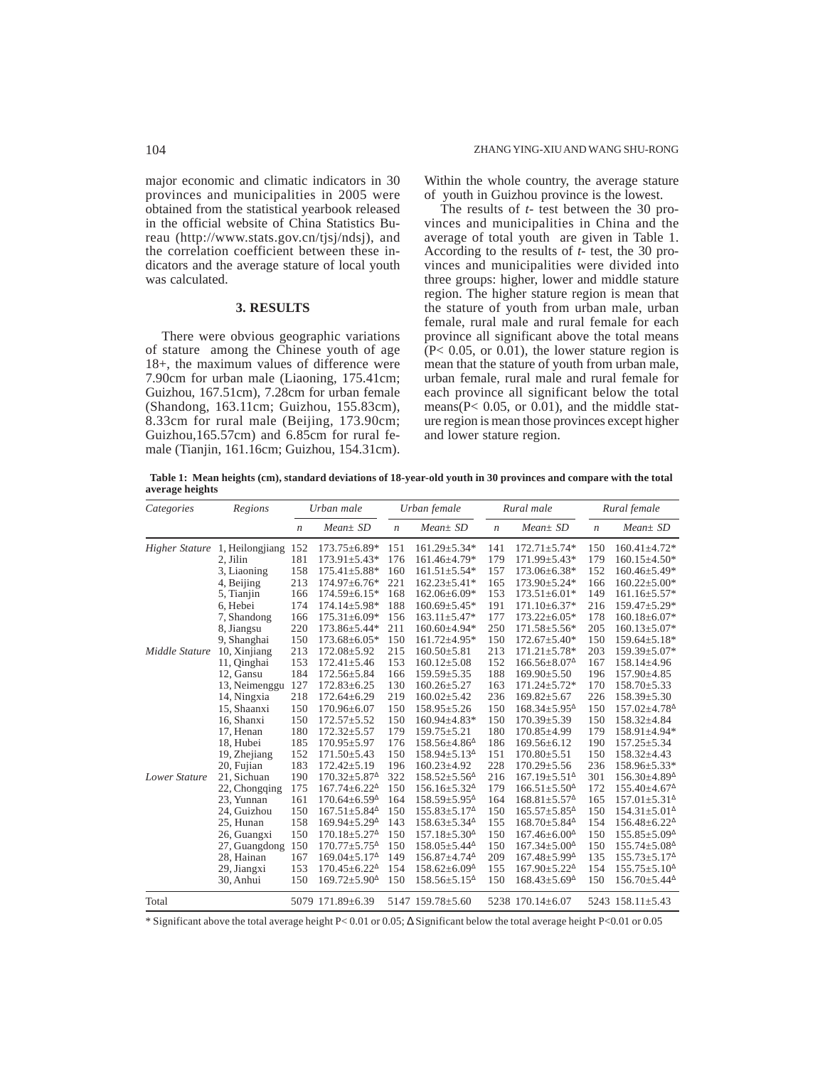major economic and climatic indicators in 30 provinces and municipalities in 2005 were obtained from the statistical yearbook released in the official website of China Statistics Bureau (http://www.stats.gov.cn/tjsj/ndsj), and the correlation coefficient between these indicators and the average stature of local youth was calculated.

# **3. RESULTS**

There were obvious geographic variations of stature among the Chinese youth of age 18+, the maximum values of difference were 7.90cm for urban male (Liaoning, 175.41cm; Guizhou, 167.51cm), 7.28cm for urban female (Shandong, 163.11cm; Guizhou, 155.83cm), 8.33cm for rural male (Beijing, 173.90cm; Guizhou,165.57cm) and 6.85cm for rural female (Tianjin, 161.16cm; Guizhou, 154.31cm). Within the whole country, the average stature of youth in Guizhou province is the lowest.

The results of *t*- test between the 30 provinces and municipalities in China and the average of total youth are given in Table 1. According to the results of *t*- test, the 30 provinces and municipalities were divided into three groups: higher, lower and middle stature region. The higher stature region is mean that the stature of youth from urban male, urban female, rural male and rural female for each province all significant above the total means  $(P< 0.05$ , or  $(0.01)$ , the lower stature region is mean that the stature of youth from urban male, urban female, rural male and rural female for each province all significant below the total means( $P < 0.05$ , or  $0.01$ ), and the middle stature region is mean those provinces except higher and lower stature region.

 **Table 1: Mean heights (cm), standard deviations of 18-year-old youth in 30 provinces and compare with the total average heights**

| Categories           | Regions                               |                  | Urban male                                          | Urban female     |                                                     | Rural male       |                                                     | Rural female     |                                                     |
|----------------------|---------------------------------------|------------------|-----------------------------------------------------|------------------|-----------------------------------------------------|------------------|-----------------------------------------------------|------------------|-----------------------------------------------------|
|                      |                                       | $\boldsymbol{n}$ | $Mean \pm SD$                                       | $\boldsymbol{n}$ | $Mean \pm SD$                                       | $\boldsymbol{n}$ | $Mean \pm SD$                                       | $\boldsymbol{n}$ | $Mean \pm SD$                                       |
|                      | <i>Higher Stature</i> 1, Heilongjiang | 152              | $173.75 \pm 6.89*$                                  | 151              | $161.29 \pm 5.34*$                                  | 141              | $172.71 \pm 5.74*$                                  | 150              | $160.41 \pm 4.72*$                                  |
|                      | 2, Jilin                              | 181              | $173.91 \pm 5.43*$                                  | 176              | 161.46±4.79*                                        | 179              | 171.99±5.43*                                        | 179              | $160.15 \pm 4.50*$                                  |
|                      | 3, Liaoning                           | 158              | $175.41 \pm 5.88*$                                  | 160              | $161.51 \pm 5.54*$                                  | 157              | 173.06±6.38*                                        | 152              | $160.46 \pm 5.49*$                                  |
|                      | 4, Beijing                            | 213              | 174.97±6.76*                                        | 221              | $162.23 \pm 5.41*$                                  | 165              | 173.90±5.24*                                        | 166              | $160.22 \pm 5.00*$                                  |
|                      | 5, Tianjin                            | 166              | 174.59±6.15*                                        | 168              | $162.06\pm6.09*$                                    | 153              | $173.51 \pm 6.01*$                                  | 149              | $161.16 \pm 5.57*$                                  |
|                      | 6, Hebei                              | 174              | $174.14 \pm 5.98*$                                  | 188              | $160.69 \pm 5.45*$                                  | 191              | $171.10\pm 6.37*$                                   | 216              | $159.47 \pm 5.29*$                                  |
|                      | 7, Shandong                           | 166              | $175.31 \pm 6.09*$                                  | 156              | $163.11 \pm 5.47*$                                  | 177              | $173.22 \pm 6.05*$                                  | 178              | $160.18 \pm 6.07*$                                  |
|                      | 8, Jiangsu                            | 220              | $173.86 \pm 5.44*$                                  | 211              | 160.60±4.94*                                        | 250              | 171.58±5.56*                                        | 205              | $160.13 \pm 5.07*$                                  |
|                      | 9. Shanghai                           | 150              | $173.68 \pm 6.05*$                                  | 150              | $161.72 \pm 4.95*$                                  | 150              | $172.67 \pm 5.40*$                                  | 150              | $159.64 \pm 5.18*$                                  |
| Middle Stature       | 10, Xinjiang                          | 213              | $172.08 \pm 5.92$                                   | 215              | $160.50 \pm 5.81$                                   | 213              | $171.21 \pm 5.78*$                                  | 203              | $159.39 \pm 5.07*$                                  |
|                      | 11, Qinghai                           | 153              | $172.41 \pm 5.46$                                   | 153              | $160.12 \pm 5.08$                                   | 152              | $166.56 \pm 8.07$ <sup><math>\triangle</math></sup> | 167              | $158.14 \pm 4.96$                                   |
|                      | 12, Gansu                             | 184              | 172.56±5.84                                         | 166              | $159.59 \pm 5.35$                                   | 188              | $169.90 \pm 5.50$                                   | 196              | 157.90±4.85                                         |
|                      | 13, Neimenggu                         | 127              | $172.83 \pm 6.25$                                   | 130              | $160.26 \pm 5.27$                                   | 163              | $171.24 \pm 5.72*$                                  | 170              | $158.70 \pm 5.33$                                   |
|                      | 14, Ningxia                           | 218              | $172.64 \pm 6.29$                                   | 219              | $160.02 \pm 5.42$                                   | 236              | $169.82 \pm 5.67$                                   | 226              | $158.39 \pm 5.30$                                   |
|                      | 15, Shaanxi                           | 150              | $170.96 \pm 6.07$                                   | 150              | $158.95 \pm 5.26$                                   | 150              | $168.34 \pm 5.95^{\circ}$                           | 150              | $157.02{\pm}4.78^{\Delta}$                          |
|                      | 16, Shanxi                            | 150              | $172.57 \pm 5.52$                                   | 150              | $160.94 \pm 4.83*$                                  | 150              | $170.39 \pm 5.39$                                   | 150              | $158.32{\pm}4.84$                                   |
|                      | 17, Henan                             | 180              | $172.32 \pm 5.57$                                   | 179              | $159.75 \pm 5.21$                                   | 180              | $170.85 \pm 4.99$                                   | 179              | 158.91±4.94*                                        |
|                      | 18, Hubei                             | 185              | $170.95 \pm 5.97$                                   | 176              | $158.56\pm4.86^{\Delta}$                            | 186              | $169.56 \pm 6.12$                                   | 190              | $157.25 \pm 5.34$                                   |
|                      | 19, Zhejiang                          | 152              | $171.50 \pm 5.43$                                   | 150              | $158.94 \pm 5.13^{\circ}$                           | 151              | $170.80 \pm 5.51$                                   | 150              | $158.32 \pm 4.43$                                   |
|                      | 20, Fujian                            | 183              | $172.42 \pm 5.19$                                   | 196              | $160.23 \pm 4.92$                                   | 228              | $170.29 \pm 5.56$                                   | 236              | 158.96±5.33*                                        |
| <b>Lower Stature</b> | 21, Sichuan                           | 190              | $170.32 \pm 5.87$ <sup><math>\triangle</math></sup> | 322              | $158.52 \pm 5.56^{\circ}$                           | 216              | $167.19 \pm 5.51^{\circ}$                           | 301              | $156.30\pm4.89^{\circ}$                             |
|                      | 22, Chongqing                         | 175              | $167.74 \pm 6.22^{\Delta}$                          | 150              | $156.16 \pm 5.32^{\circ}$                           | 179              | $166.51 \pm 5.50^{\circ}$                           | 172              | $155.40 \pm 4.67$ <sup><math>\triangle</math></sup> |
|                      | 23, Yunnan                            | 161              | $170.64 \pm 6.59$ <sup><math>\triangle</math></sup> | 164              | $158.59 \pm 5.95^{\circ}$                           | 164              | $168.81 \pm 5.57$ <sup><math>\triangle</math></sup> | 165              | $157.01 \pm 5.31^{\circ}$                           |
|                      | 24, Guizhou                           | 150              | $167.51 \pm 5.84^{\circ}$                           | 150              | 155.83±5.17 <sup>^</sup>                            | 150              | $165.57 \pm 5.85^{\circ}$                           | 150              | $154.31 \pm 5.01^{\circ}$                           |
|                      | 25, Hunan                             | 158              | $169.94 \pm 5.29^{\circ}$                           | 143              | $158.63 \pm 5.34^{\circ}$                           | 155              | $168.70 \pm 5.84^{\circ}$                           | 154              | $156.48 \pm 6.22^{\Delta}$                          |
|                      | 26, Guangxi                           | 150              | $170.18 \pm 5.27$ <sup><math>\triangle</math></sup> | 150              | $157.18 \pm 5.30^{\circ}$                           | 150              | $167.46 \pm 6.00^{\circ}$                           | 150              | $155.85 \pm 5.09^{\circ}$                           |
|                      | 27, Guangdong                         | 150              | $170.77 \pm 5.75^{\circ}$                           | 150              | $158.05 \pm 5.44^{\circ}$                           | 150              | $167.34 \pm 5.00^{\circ}$                           | 150              | $155.74 \pm 5.08^{\circ}$                           |
|                      | 28, Hainan                            | 167              | $169.04 \pm 5.17^{\circ}$                           | 149              | $156.87 \pm 4.74^{\Delta}$                          | 209              | $167.48 \pm 5.99$ <sup><math>\triangle</math></sup> | 135              | $155.73 \pm 5.17^{\circ}$                           |
|                      | 29, Jiangxi                           | 153              | $170.45 \pm 6.22^{\Delta}$                          | 154              | $158.62 \pm 6.09$ <sup><math>\triangle</math></sup> | 155              | $167.90 \pm 5.22^{\Delta}$                          | 154              | $155.75 \pm 5.10^4$                                 |
|                      | 30, Anhui                             | 150              | $169.72 \pm 5.90^{\circ}$                           | 150              | $158.56 \pm 5.15^{\circ}$                           | 150              | $168.43 \pm 5.69$ <sup><math>\triangle</math></sup> | 150              | $156.70 \pm 5.44^{\circ}$                           |
| Total                |                                       |                  | 5079 171.89±6.39                                    |                  | 5147 159.78 ± 5.60                                  |                  | 5238 170.14±6.07                                    |                  | 5243 158.11 $\pm$ 5.43                              |

\* Significant above the total average height P< 0.01 or 0.05; ∆ Significant below the total average height P<0.01 or 0.05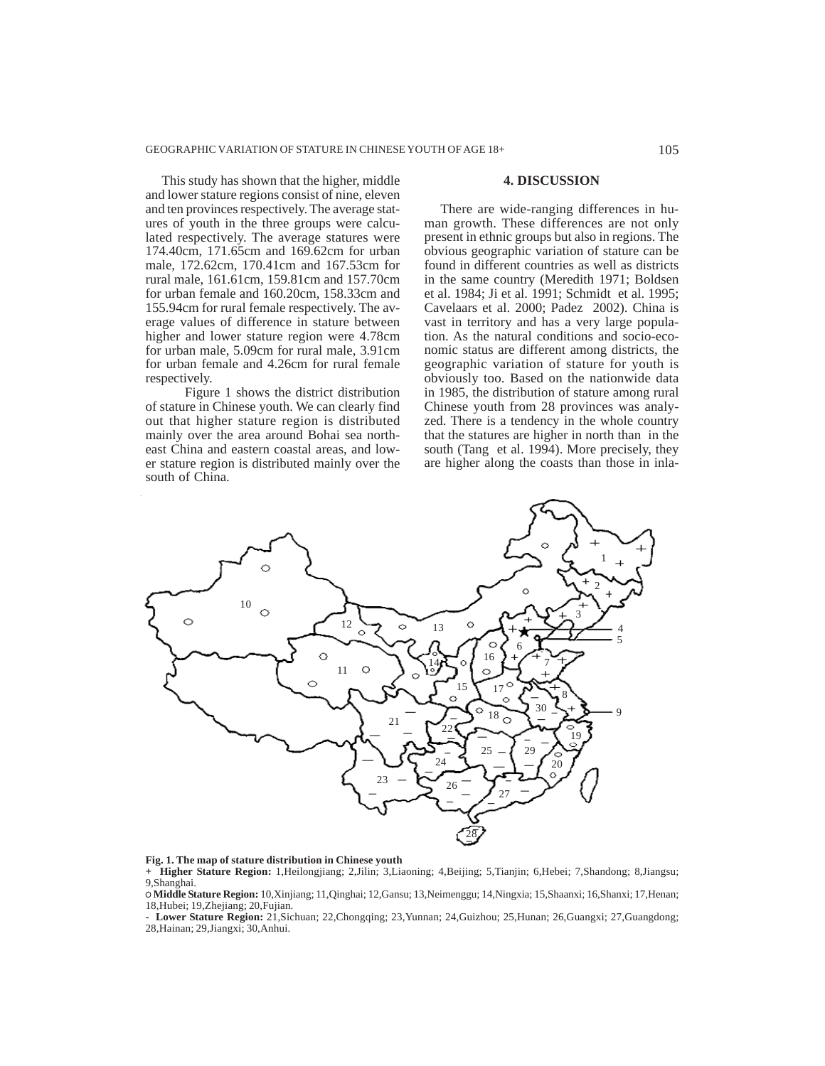This study has shown that the higher, middle and lower stature regions consist of nine, eleven and ten provinces respectively. The average statures of youth in the three groups were calculated respectively. The average statures were 174.40cm, 171.65cm and 169.62cm for urban male, 172.62cm, 170.41cm and 167.53cm for rural male, 161.61cm, 159.81cm and 157.70cm for urban female and 160.20cm, 158.33cm and 155.94cm for rural female respectively. The average values of difference in stature between higher and lower stature region were 4.78cm for urban male, 5.09cm for rural male, 3.91cm for urban female and 4.26cm for rural female respectively.

 Figure 1 shows the district distribution of stature in Chinese youth. We can clearly find out that higher stature region is distributed mainly over the area around Bohai sea northeast China and eastern coastal areas, and lower stature region is distributed mainly over the south of China.

### **4. DISCUSSION**

There are wide-ranging differences in human growth. These differences are not only present in ethnic groups but also in regions. The obvious geographic variation of stature can be found in different countries as well as districts in the same country (Meredith 1971; Boldsen et al. 1984; Ji et al. 1991; Schmidt et al. 1995; Cavelaars et al. 2000; Padez 2002). China is vast in territory and has a very large population. As the natural conditions and socio-economic status are different among districts, the geographic variation of stature for youth is obviously too. Based on the nationwide data in 1985, the distribution of stature among rural Chinese youth from 28 provinces was analyzed. There is a tendency in the whole country that the statures are higher in north than in the south (Tang et al. 1994). More precisely, they are higher along the coasts than those in inla-



## **Fig. 1. The map of stature distribution in Chinese youth**

**+ Higher Stature Region:** 1,Heilongjiang; 2,Jilin; 3,Liaoning; 4,Beijing; 5,Tianjin; 6,Hebei; 7,Shandong; 8,Jiangsu; 9,Shanghai.

 **Middle Stature Region:** 10,Xinjiang; 11,Qinghai; 12,Gansu; 13,Neimenggu; 14,Ningxia; 15,Shaanxi; 16,Shanxi; 17,Henan; 18,Hubei; 19,Zhejiang; 20,Fujian.

**- Lower Stature Region:** 21,Sichuan; 22,Chongqing; 23,Yunnan; 24,Guizhou; 25,Hunan; 26,Guangxi; 27,Guangdong; 28,Hainan; 29,Jiangxi; 30,Anhui.